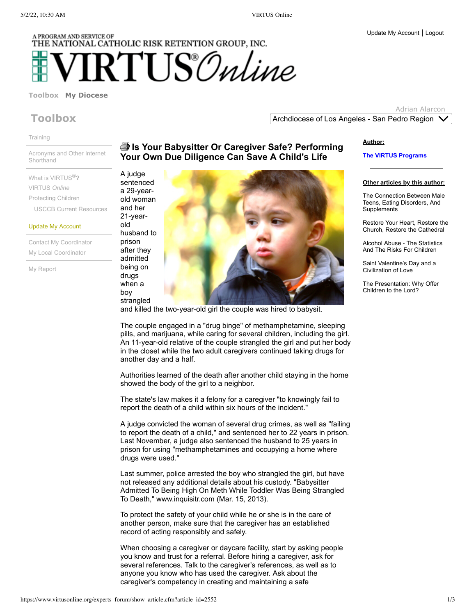# A PROGRAM AND SERVICE OF THE NATIONAL CATHOLIC RISK RETENTION GROUP, INC.  $\operatorname{RTUS}\!\mathcal{O}$ nline

### **[Toolbox](https://www.virtusonline.org/mypage/index.cfm?tab=1) My [Diocese](https://www.virtusonline.org/myorg/index.cfm?tab=2)**

# **Toolbox**

[Training](https://www.virtusonline.org/mypage/live_training_main.cfm)

Acronyms and Other Internet **[Shorthand](https://www.virtusonline.org/mypage/net_acronyms.cfm)** 

What is [VIRTUS](https://www.virtusonline.org/mypage/virtus_description.cfm) ®**?** [VIRTUS](https://www.virtusonline.org/mypage/exploring_virtus.cfm) *Online* [Protecting](https://www.virtusonline.org/mypage/protecting_children.cfm) Children USCCB Current [Resources](http://usccb.org/issues-and-action/child-and-youth-protection/resources/)

Update My [Account](https://www.virtusonline.org/mypage/EditMyInformation.cfm)

Contact My [Coordinator](https://www.virtusonline.org/mypage/ContactCoordinator.cfm) My Local [Coordinator](https://www.virtusonline.org/mypage/local_coordinator_list.cfm)

My [Report](https://www.virtusonline.org/mytraining/MyTrainingReport.cfm)

## **Is Your Babysitter Or Caregiver Safe? Performing Your Own Due Diligence Can Save A Child's Life**

A judge sentenced a 29-yearold woman and her 21-yearold husband to prison after they admitted

drugs when a boy



and killed the two-year-old girl the couple was hired to babysit.

The couple engaged in a "drug binge" of methamphetamine, sleeping pills, and marijuana, while caring for several children, including the girl. An 11-year-old relative of the couple strangled the girl and put her body in the closet while the two adult caregivers continued taking drugs for another day and a half.

Authorities learned of the death after another child staying in the home showed the body of the girl to a neighbor.

The state's law makes it a felony for a caregiver "to knowingly fail to report the death of a child within six hours of the incident."

A judge convicted the woman of several drug crimes, as well as "failing to report the death of a child," and sentenced her to 22 years in prison. Last November, a judge also sentenced the husband to 25 years in prison for using "methamphetamines and occupying a home where drugs were used."

Last summer, police arrested the boy who strangled the girl, but have not released any additional details about his custody. "Babysitter Admitted To Being High On Meth While Toddler Was Being Strangled To Death," www.inquisitr.com (Mar. 15, 2013).

To protect the safety of your child while he or she is in the care of another person, make sure that the caregiver has an established record of acting responsibly and safely.

When choosing a caregiver or daycare facility, start by asking people you know and trust for a referral. Before hiring a caregiver, ask for several references. Talk to the caregiver's references, as well as to anyone you know who has used the caregiver. Ask about the caregiver's competency in creating and maintaining a safe

#### **Author:**

Archdiocese of Los Angeles - San Pedro Region

**The VIRTUS Programs**

**Other articles by this author:**

Adrian Alarcon

The Connection Between Male Teens, Eating Disorders, And **[Supplements](https://www.virtusonline.org/experts_forum/show_article.cfm?article_id=2598)** 

Restore Your Heart, Restore the Church, Restore the [Cathedral](https://www.virtusonline.org/experts_forum/show_article.cfm?article_id=2581)

Alcohol Abuse - The [Statistics](https://www.virtusonline.org/experts_forum/show_article.cfm?article_id=2580) And The Risks For Children

Saint [Valentine's](https://www.virtusonline.org/experts_forum/show_article.cfm?article_id=2579) Day and a Civilization of Love

The [Presentation:](https://www.virtusonline.org/experts_forum/show_article.cfm?article_id=2578) Why Offer Children to the Lord?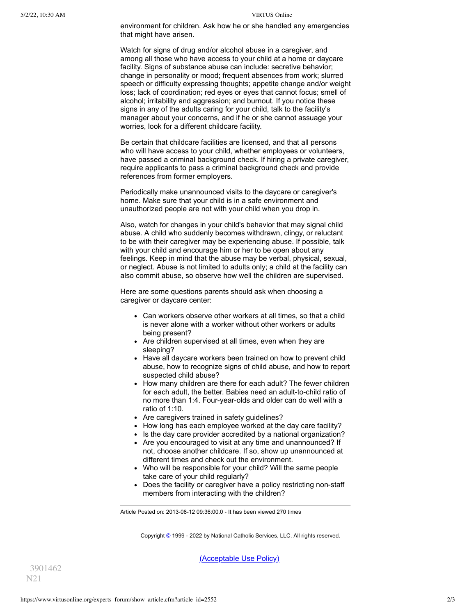environment for children. Ask how he or she handled any emergencies that might have arisen.

Watch for signs of drug and/or alcohol abuse in a caregiver, and among all those who have access to your child at a home or daycare facility. Signs of substance abuse can include: secretive behavior; change in personality or mood; frequent absences from work; slurred speech or difficulty expressing thoughts; appetite change and/or weight loss; lack of coordination; red eyes or eyes that cannot focus; smell of alcohol; irritability and aggression; and burnout. If you notice these signs in any of the adults caring for your child, talk to the facility's manager about your concerns, and if he or she cannot assuage your worries, look for a different childcare facility.

Be certain that childcare facilities are licensed, and that all persons who will have access to your child, whether employees or volunteers, have passed a criminal background check. If hiring a private caregiver, require applicants to pass a criminal background check and provide references from former employers.

Periodically make unannounced visits to the daycare or caregiver's home. Make sure that your child is in a safe environment and unauthorized people are not with your child when you drop in.

Also, watch for changes in your child's behavior that may signal child abuse. A child who suddenly becomes withdrawn, clingy, or reluctant to be with their caregiver may be experiencing abuse. If possible, talk with your child and encourage him or her to be open about any feelings. Keep in mind that the abuse may be verbal, physical, sexual, or neglect. Abuse is not limited to adults only; a child at the facility can also commit abuse, so observe how well the children are supervised.

Here are some questions parents should ask when choosing a caregiver or daycare center:

- Can workers observe other workers at all times, so that a child is never alone with a worker without other workers or adults being present?
- Are children supervised at all times, even when they are sleeping?
- Have all daycare workers been trained on how to prevent child abuse, how to recognize signs of child abuse, and how to report suspected child abuse?
- How many children are there for each adult? The fewer children for each adult, the better. Babies need an adult-to-child ratio of no more than 1:4. Four-year-olds and older can do well with a ratio of 1:10.
- Are caregivers trained in safety guidelines?
- How long has each employee worked at the day care facility?
- Is the day care provider accredited by a national organization?
- Are you encouraged to visit at any time and unannounced? If not, choose another childcare. If so, show up unannounced at different times and check out the environment.
- Who will be responsible for your child? Will the same people take care of your child regularly?
- Does the facility or caregiver have a policy restricting non-staff members from interacting with the children?

Article Posted on: 2013-08-12 09:36:00.0 - It has been viewed 270 times

Copyright [©](https://www.virtusonline.org/debug/index.cfm?clear=1) 1999 - 2022 by National Catholic Services, LLC. All rights reserved.

[\(Acceptable](https://www.virtusonline.org/aup.cfm) Use Policy)

3901462 N21